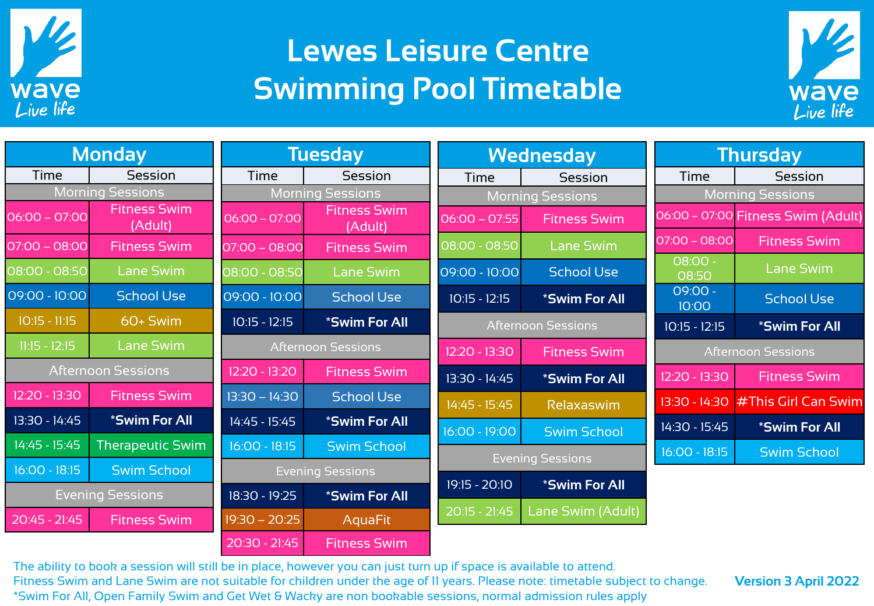

## **Lewes Leisure Centre Swimming Pool Timetable**



| <b>Monday</b>                |                                | <b>Tuesday</b>            |                                | <b>Wednesday</b>        |                           | Thursday                  |                                    |
|------------------------------|--------------------------------|---------------------------|--------------------------------|-------------------------|---------------------------|---------------------------|------------------------------------|
| Time                         | Session                        | Time                      | Session                        | Time                    | Session                   | Time                      | Session                            |
| <b>Morning Sessions</b>      |                                | <b>Morning Sessions</b>   |                                | <b>Morning Sessions</b> |                           | <b>Morning Sessions</b>   |                                    |
| $06:00 - 07:00$              | <b>Fitness Swim</b><br>(Adult) | $06:00 - 07:00$           | <b>Fitness Swim</b><br>(Adult) | $06:00 - 07:55$         | <b>Fitness Swim</b>       |                           | 06:00 - 07:00 Fitness Swim (Adult) |
| $07:00 - 08:00$              | <b>Fitness Swim</b>            | $07:00 - 08:00$           | <b>Fitness Swim</b>            | 08:00 - 08:50           | <b>Lane Swim</b>          | $07:00 - 08:00$           | <b>Fitness Swim</b>                |
| 08:00 - 08:50                | Lane Swim                      | 08:00 - 08:50             | <b>Lane Swim</b>               | 09:00 - 10:00           | <b>School Use</b>         | $-00:80$<br>08:50         | <b>Lane Swim</b>                   |
| 09:00 - 10:00                | <b>School Use</b>              | 09:00 - 10:00             | <b>School Use</b>              | $10:15 - 12:15$         | *Swim For All             | 09:00 -<br>10:00          | <b>School Use</b>                  |
| $10:15 - 11:15$              | 60+ Swim                       | $10:15 - 12:15$           | <i><b>*Swim For All</b></i>    |                         | <b>Afternoon Sessions</b> | $10:15 - 12:15$           | <i><b>*Swim For All</b></i>        |
| Lane Swim<br>$11:15 - 12:15$ |                                | <b>Afternoon Sessions</b> |                                | 12:20 - 13:30           | <b>Fitness Swim</b>       | <b>Afternoon Sessions</b> |                                    |
| <b>Afternoon Sessions</b>    |                                | 12:20 - 13:20             | <b>Fitness Swim</b>            | 13:30 - 14:45           | *Swim For All             | 12:20 - 13:30             | <b>Fitness Swim</b>                |
| 12:20 - 13:30                | <b>Fitness Swim</b>            | $13:30 - 14:30$           | <b>School Use</b>              | 14:45 - 15:45           | Relaxaswim                |                           | 13:30 - 14:30 # This Girl Can Swim |
| 13:30 - 14:45                | *Swim For All                  | 14:45 - 15:45             | <i><b>*Swim For All</b></i>    | 16:00 - 19:00           | <b>Swim School</b>        | 14:30 - 15:45             | <i><b>*Swim For All</b></i>        |
| 14:45 - 15:45                | <b>Therapeutic Swim</b>        | $16:00 - 18:15$           | <b>Swim School</b>             |                         | <b>Evening Sessions</b>   | $16:00 - 18:15$           | <b>Swim School</b>                 |
| $16:00 - 18:15$              | <b>Swim School</b>             | <b>Evening Sessions</b>   |                                |                         |                           |                           |                                    |
| <b>Evening Sessions</b>      |                                | 18:30 - 19:25             | *Swim For All                  | 19:15 - 20:10           | *Swim For All             |                           |                                    |
| 20:45 - 21:45                | <b>Fitness Swim</b>            | $19:30 - 20:25$           | <b>AquaFit</b>                 | $20:15 - 21:45$         | Lane Swim (Adult)         |                           |                                    |
|                              |                                | $20:30 - 21:45$           | <b>Fitness Swim</b>            |                         |                           |                           |                                    |

The ability to book a session will still be in place, however you can just turn up if space is available to attend. Fitness Swim and Lane Swim are not suitable for children under the age of 11 years. Please note: timetable subject to change. \*Swim For All, Open Family Swim and Get Wet & Wacky are non bookable sessions, normal admission rules apply.

**Version 3 April 2022**